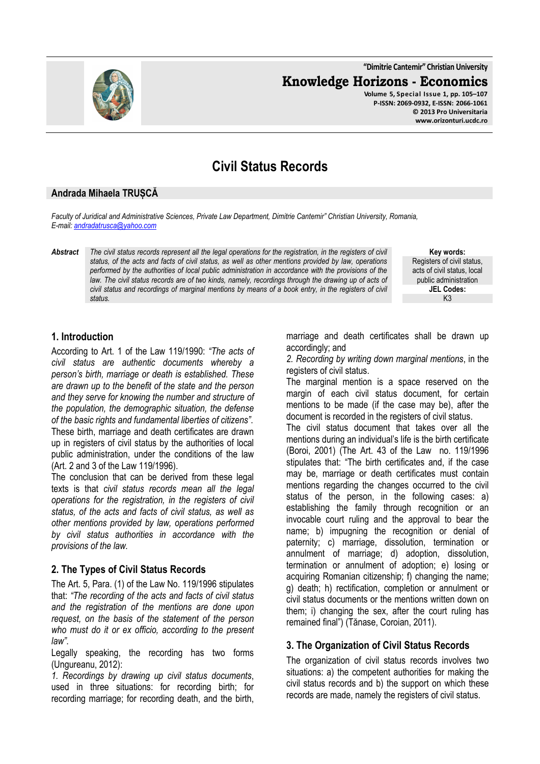**"Dimitrie Cantemir" Christian University Knowledge Horizons - Economics Volume 5, Special Issue 1, pp. 105–107 P-ISSN: 2069-0932, E-ISSN: 2066-1061 © 2013 Pro Universitaria www.orizonturi.ucdc.ro**

# **Civil Status Records**

#### **Andrada Mihaela TRUȘCĂ**

*Faculty of Juridical and Administrative Sciences, Private Law Department, Dimitrie Cantemir" Christian University, Romania, E-mail: andradatrusca@yahoo.com* 

*Abstract The civil status records represent all the legal operations for the registration, in the registers of civil status, of the acts and facts of civil status, as well as other mentions provided by law, operations performed by the authorities of local public administration in accordance with the provisions of the*  law. The civil status records are of two kinds, namely, recordings through the drawing up of acts of *civil status and recordings of marginal mentions by means of a book entry, in the registers of civil status.*

acts of civil status, local public administration **JEL Codes:** K3

**Key words:** Registers of civil status,

#### **1. Introduction**

According to Art. 1 of the Law 119/1990: *"The acts of civil status are authentic documents whereby a person's birth, marriage or death is established. These are drawn up to the benefit of the state and the person and they serve for knowing the number and structure of the population, the demographic situation, the defense of the basic rights and fundamental liberties of citizens"*. These birth, marriage and death certificates are drawn up in registers of civil status by the authorities of local public administration, under the conditions of the law (Art. 2 and 3 of the Law 119/1996).

The conclusion that can be derived from these legal texts is that *civil status records mean all the legal operations for the registration, in the registers of civil status, of the acts and facts of civil status, as well as other mentions provided by law, operations performed by civil status authorities in accordance with the provisions of the law.* 

## **2. The Types of Civil Status Records**

The Art. 5, Para. (1) of the Law No. 119/1996 stipulates that: *"The recording of the acts and facts of civil status and the registration of the mentions are done upon request, on the basis of the statement of the person who must do it or ex officio, according to the present law"*.

Legally speaking, the recording has two forms (Ungureanu, 2012):

*1. Recordings by drawing up civil status documents*, used in three situations: for recording birth; for recording marriage; for recording death, and the birth, marriage and death certificates shall be drawn up accordingly; and

*2. Recording by writing down marginal mentions*, in the registers of civil status.

The marginal mention is a space reserved on the margin of each civil status document, for certain mentions to be made (if the case may be), after the document is recorded in the registers of civil status.

The civil status document that takes over all the mentions during an individual's life is the birth certificate (Boroi, 2001) (The Art. 43 of the Law no. 119/1996 stipulates that: "The birth certificates and, if the case may be, marriage or death certificates must contain mentions regarding the changes occurred to the civil status of the person, in the following cases: a) establishing the family through recognition or an invocable court ruling and the approval to bear the name; b) impugning the recognition or denial of paternity; c) marriage, dissolution, termination or annulment of marriage; d) adoption, dissolution, termination or annulment of adoption; e) losing or acquiring Romanian citizenship; f) changing the name; g) death; h) rectification, completion or annulment or civil status documents or the mentions written down on them; i) changing the sex, after the court ruling has remained final") (Tănase, Coroian, 2011).

## **3. The Organization of Civil Status Records**

The organization of civil status records involves two situations: a) the competent authorities for making the civil status records and b) the support on which these records are made, namely the registers of civil status.

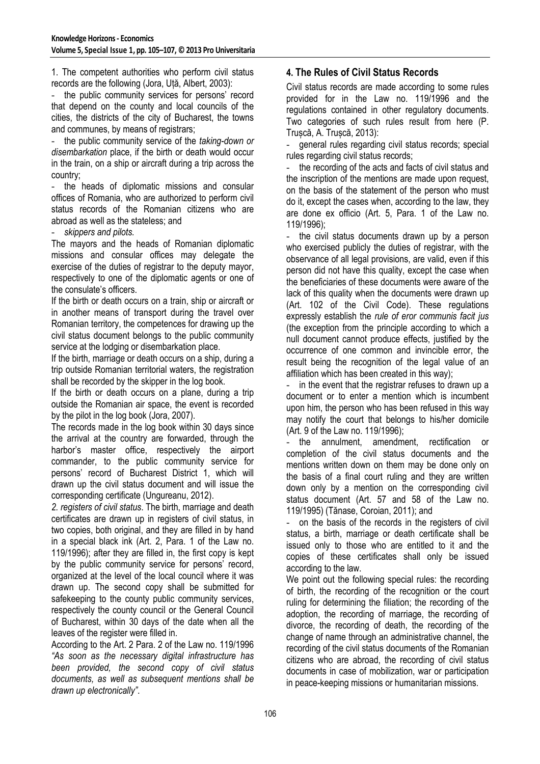1. The competent authorities who perform civil status records are the following (Jora, Uță, Albert, 2003):

the public community services for persons' record that depend on the county and local councils of the cities, the districts of the city of Bucharest, the towns and communes, by means of registrars;

- the public community service of the *taking-down or disembarkation* place, if the birth or death would occur in the train, on a ship or aircraft during a trip across the country;

the heads of diplomatic missions and consular offices of Romania, who are authorized to perform civil status records of the Romanian citizens who are abroad as well as the stateless; and

- *skippers and pilots.* 

The mayors and the heads of Romanian diplomatic missions and consular offices may delegate the exercise of the duties of registrar to the deputy mayor, respectively to one of the diplomatic agents or one of the consulate's officers.

If the birth or death occurs on a train, ship or aircraft or in another means of transport during the travel over Romanian territory, the competences for drawing up the civil status document belongs to the public community service at the lodging or disembarkation place.

If the birth, marriage or death occurs on a ship, during a trip outside Romanian territorial waters, the registration shall be recorded by the skipper in the log book.

If the birth or death occurs on a plane, during a trip outside the Romanian air space, the event is recorded by the pilot in the log book (Jora, 2007).

The records made in the log book within 30 days since the arrival at the country are forwarded, through the harbor's master office, respectively the airport commander, to the public community service for persons' record of Bucharest District 1, which will drawn up the civil status document and will issue the corresponding certificate (Ungureanu, 2012).

*2. registers of civil status*. The birth, marriage and death certificates are drawn up in registers of civil status, in two copies, both original, and they are filled in by hand in a special black ink (Art. 2, Para. 1 of the Law no. 119/1996); after they are filled in, the first copy is kept by the public community service for persons' record, organized at the level of the local council where it was drawn up. The second copy shall be submitted for safekeeping to the county public community services, respectively the county council or the General Council of Bucharest, within 30 days of the date when all the leaves of the register were filled in.

According to the Art. 2 Para. 2 of the Law no. 119/1996 *"As soon as the necessary digital infrastructure has been provided, the second copy of civil status documents, as well as subsequent mentions shall be drawn up electronically"*.

## **4. The Rules of Civil Status Records**

Civil status records are made according to some rules provided for in the Law no. 119/1996 and the regulations contained in other regulatory documents. Two categories of such rules result from here (P. Trușcă, A. Trușcă, 2013):

- general rules regarding civil status records; special rules regarding civil status records;

the recording of the acts and facts of civil status and the inscription of the mentions are made upon request, on the basis of the statement of the person who must do it, except the cases when, according to the law, they are done ex officio (Art. 5, Para. 1 of the Law no. 119/1996);

- the civil status documents drawn up by a person who exercised publicly the duties of registrar, with the observance of all legal provisions, are valid, even if this person did not have this quality, except the case when the beneficiaries of these documents were aware of the lack of this quality when the documents were drawn up (Art. 102 of the Civil Code). These regulations expressly establish the *rule of eror communis facit jus* (the exception from the principle according to which a null document cannot produce effects, justified by the occurrence of one common and invincible error, the result being the recognition of the legal value of an affiliation which has been created in this way);

in the event that the registrar refuses to drawn up a document or to enter a mention which is incumbent upon him, the person who has been refused in this way may notify the court that belongs to his/her domicile (Art. 9 of the Law no. 119/1996);

- the annulment, amendment, rectification or completion of the civil status documents and the mentions written down on them may be done only on the basis of a final court ruling and they are written down only by a mention on the corresponding civil status document (Art. 57 and 58 of the Law no. 119/1995) (Tănase, Coroian, 2011); and

- on the basis of the records in the registers of civil status, a birth, marriage or death certificate shall be issued only to those who are entitled to it and the copies of these certificates shall only be issued according to the law.

We point out the following special rules: the recording of birth, the recording of the recognition or the court ruling for determining the filiation; the recording of the adoption, the recording of marriage, the recording of divorce, the recording of death, the recording of the change of name through an administrative channel, the recording of the civil status documents of the Romanian citizens who are abroad, the recording of civil status documents in case of mobilization, war or participation in peace-keeping missions or humanitarian missions.